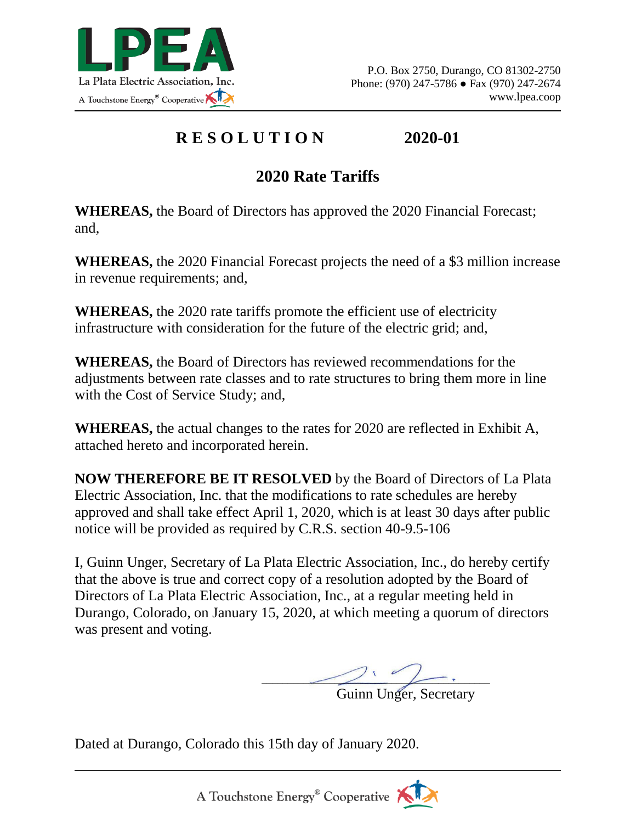

## **R E S O L U T I O N 2020-01**

## **2020 Rate Tariffs**

**WHEREAS,** the Board of Directors has approved the 2020 Financial Forecast; and,

**WHEREAS,** the 2020 Financial Forecast projects the need of a \$3 million increase in revenue requirements; and,

**WHEREAS,** the 2020 rate tariffs promote the efficient use of electricity infrastructure with consideration for the future of the electric grid; and,

**WHEREAS,** the Board of Directors has reviewed recommendations for the adjustments between rate classes and to rate structures to bring them more in line with the Cost of Service Study; and,

**WHEREAS,** the actual changes to the rates for 2020 are reflected in Exhibit A, attached hereto and incorporated herein.

**NOW THEREFORE BE IT RESOLVED** by the Board of Directors of La Plata Electric Association, Inc. that the modifications to rate schedules are hereby approved and shall take effect April 1, 2020, which is at least 30 days after public notice will be provided as required by C.R.S. section 40-9.5-106

I, Guinn Unger, Secretary of La Plata Electric Association, Inc., do hereby certify that the above is true and correct copy of a resolution adopted by the Board of Directors of La Plata Electric Association, Inc., at a regular meeting held in Durango, Colorado, on January 15, 2020, at which meeting a quorum of directors was present and voting.

 $\angle$ 

Guinn Unger, Secretary

Dated at Durango, Colorado this 15th day of January 2020.